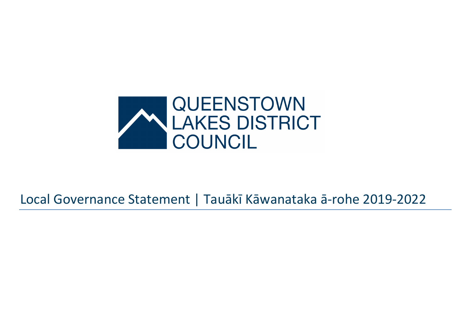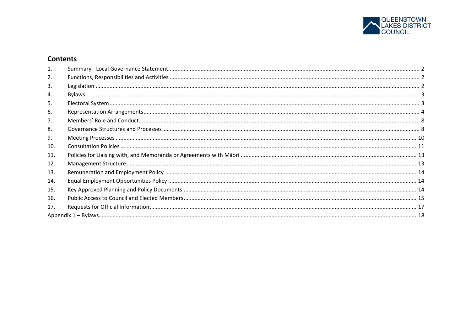

# **Contents**

| 2.  |  |
|-----|--|
| 3.  |  |
| 4.  |  |
| 5.  |  |
| 6.  |  |
|     |  |
| 8.  |  |
| 9.  |  |
| 10. |  |
| 11. |  |
| 12. |  |
| 13. |  |
| 14. |  |
| 15. |  |
| 16. |  |
| 17. |  |
|     |  |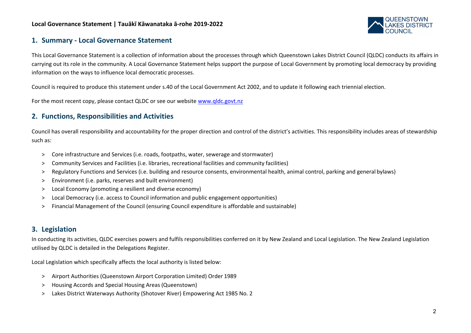

# **1. Summary - Local Governance Statement**

This Local Governance Statement is a collection of information about the processes through which Queenstown Lakes District Council (QLDC) conducts its affairs in carrying out its role in the community. A Local Governance Statement helps support the purpose of Local Government by promoting local democracy by providing information on the ways to influence local democratic processes.

Council is required to produce this statement under s.40 of the Local Government Act 2002, and to update it following each triennial election.

For the most recent copy, please contact QLDC or see our website [www.qldc.govt.nz](http://www.qldc.govt.nz/)

# **2. Functions, Responsibilities and Activities**

Council has overall responsibility and accountability for the proper direction and control of the district's activities. This responsibility includes areas of stewardship such as:

- > Core infrastructure and Services (i.e. roads, footpaths, water, sewerage and stormwater)
- > Community Services and Facilities (i.e. libraries, recreational facilities and community facilities)
- > Regulatory Functions and Services (i.e. building and resource consents, environmental health, animal control, parking and general bylaws)
- > Environment (i.e. parks, reserves and built environment)
- > Local Economy (promoting a resilient and diverse economy)
- > Local Democracy (i.e. access to Council information and public engagement opportunities)
- > Financial Management of the Council (ensuring Council expenditure is affordable and sustainable)

# **3. Legislation**

In conducting its activities, QLDC exercises powers and fulfils responsibilities conferred on it by New Zealand and Local Legislation. The New Zealand Legislation utilised by QLDC is detailed in the Delegations Register.

Local Legislation which specifically affects the local authority is listed below:

- > Airport Authorities (Queenstown Airport Corporation Limited) Order 1989
- > Housing Accords and Special Housing Areas (Queenstown)
- > Lakes District Waterways Authority (Shotover River) Empowering Act 1985 No. 2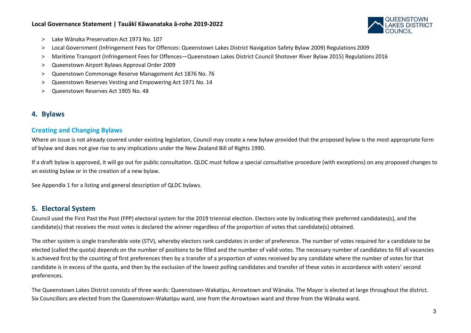

- > Lake Wānaka Preservation Act 1973 No. 107
- > Local Government (Infringement Fees for Offences: Queenstown Lakes District Navigation Safety Bylaw 2009) Regulations 2009
- > Maritime Transport (Infringement Fees for Offences—Queenstown Lakes District Council Shotover River Bylaw 2015) Regulations 2016
- > Queenstown Airport Bylaws Approval Order 2009
- > Queenstown Commonage Reserve Management Act 1876 No. 76
- > Queenstown Reserves Vesting and Empowering Act 1971 No. 14
- > Queenstown Reserves Act 1905 No. 48

# **4. Bylaws**

### **Creating and Changing Bylaws**

Where an issue is not already covered under existing legislation, Council may create a new bylaw provided that the proposed bylaw is the most appropriate form of bylaw and does not give rise to any implications under the New Zealand Bill of Rights 1990.

If a draft bylaw is approved, it will go out for public consultation. QLDC must follow a special consultative procedure (with exceptions) on any proposed changes to an existing bylaw or in the creation of a new bylaw.

See Appendix 1 for a listing and general description of QLDC bylaws.

# **5. Electoral System**

Council used the First Past the Post (FPP) electoral system for the 2019 triennial election. Electors vote by indicating their preferred candidates(s), and the candidate(s) that receives the most votes is declared the winner regardless of the proportion of votes that candidate(s) obtained.

The other system is single transferable vote (STV), whereby electors rank candidates in order of preference. The number of votes required for a candidate to be elected (called the quota) depends on the number of positions to be filled and the number of valid votes. The necessary number of candidates to fill all vacancies is achieved first by the counting of first preferences then by a transfer of a proportion of votes received by any candidate where the number of votes for that candidate is in excess of the quota, and then by the exclusion of the lowest polling candidates and transfer of these votes in accordance with voters' second preferences.

The Queenstown Lakes District consists of three wards: Queenstown-Wakatipu, Arrowtown and Wānaka. The Mayor is elected at large throughout the district. Six Councillors are elected from the Queenstown-Wakatipu ward, one from the Arrowtown ward and three from the Wānaka ward.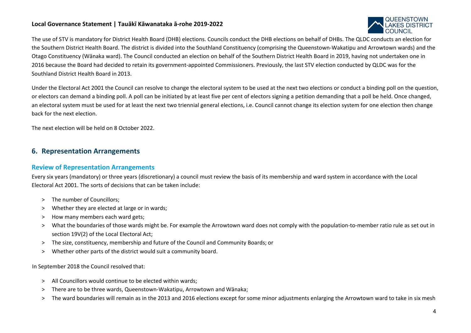

The use of STV is mandatory for District Health Board (DHB) elections. Councils conduct the DHB elections on behalf of DHBs. The QLDC conducts an election for the Southern District Health Board. The district is divided into the Southland Constituency (comprising the Queenstown-Wakatipu and Arrowtown wards) and the Otago Constituency (Wānaka ward). The Council conducted an election on behalf of the Southern District Health Board in 2019, having not undertaken one in 2016 because the Board had decided to retain its government-appointed Commissioners. Previously, the last STV election conducted by QLDC was for the Southland District Health Board in 2013.

Under the Electoral Act 2001 the Council can resolve to change the electoral system to be used at the next two elections or conduct a binding poll on the question, or electors can demand a binding poll. A poll can be initiated by at least five per cent of electors signing a petition demanding that a poll be held. Once changed, an electoral system must be used for at least the next two triennial general elections, i.e. Council cannot change its election system for one election then change back for the next election.

The next election will be held on 8 October 2022.

# **6. Representation Arrangements**

# **Review of Representation Arrangements**

Every six years (mandatory) or three years (discretionary) a council must review the basis of its membership and ward system in accordance with the Local Electoral Act 2001. The sorts of decisions that can be taken include:

- > The number of Councillors;
- > Whether they are elected at large or in wards;
- > How many members each ward gets;
- > What the boundaries of those wards might be. For example the Arrowtown ward does not comply with the population-to-member ratio rule as set out in section 19V(2) of the Local Electoral Act;
- > The size, constituency, membership and future of the Council and Community Boards; or
- > Whether other parts of the district would suit a community board.

In September 2018 the Council resolved that:

- > All Councillors would continue to be elected within wards;
- > There are to be three wards, Queenstown-Wakatipu, Arrowtown and Wānaka;
- > The ward boundaries will remain as in the 2013 and 2016 elections except for some minor adjustments enlarging the Arrowtown ward to take in six mesh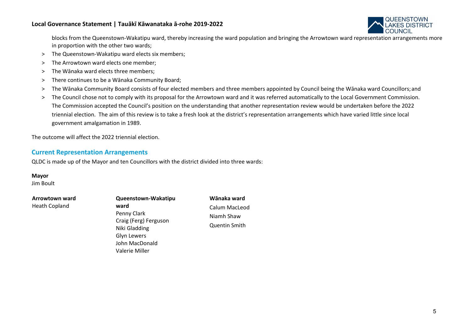

blocks from the Queenstown-Wakatipu ward, thereby increasing the ward population and bringing the Arrowtown ward representation arrangements more in proportion with the other two wards;

- > The Queenstown-Wakatipu ward elects six members;
- > The Arrowtown ward elects one member;
- > The Wānaka ward elects three members;
- > There continues to be a Wānaka Community Board;
- > The Wānaka Community Board consists of four elected members and three members appointed by Council being the Wānaka ward Councillors;and
- > The Council chose not to comply with its proposal for the Arrowtown ward and it was referred automatically to the Local Government Commission. The Commission accepted the Council's position on the understanding that another representation review would be undertaken before the 2022 triennial election. The aim of this review is to take a fresh look at the district's representation arrangements which have varied little since local government amalgamation in 1989.

The outcome will affect the 2022 triennial election.

### **Current Representation Arrangements**

QLDC is made up of the Mayor and ten Councillors with the district divided into three wards:

#### **Mayor**

Jim Boult

# **Arrowtown ward**

Heath Copland

# **Queenstown-Wakatipu ward**

Penny Clark Craig (Ferg) Ferguson Niki Gladding Glyn Lewers John MacDonald Valerie Miller

**Wānaka ward**  Calum MacLeod Niamh Shaw Quentin Smith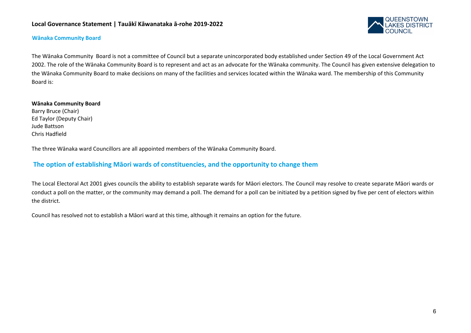

#### **Wānaka Community Board**

The Wānaka Community Board is not a committee of Council but a separate unincorporated body established under Section 49 of the Local Government Act 2002. The role of the Wānaka Community Board is to represent and act as an advocate for the Wānaka community. The Council has given extensive delegation to the Wānaka Community Board to make decisions on many of the facilities and services located within the Wānaka ward. The membership of this Community Board is:

#### **Wānaka Community Board**

Barry Bruce (Chair) Ed Taylor (Deputy Chair) Jude Battson Chris Hadfield

The three Wānaka ward Councillors are all appointed members of the Wānaka Community Board.

### **The option of establishing Māori wards of constituencies, and the opportunity to change them**

The Local Electoral Act 2001 gives councils the ability to establish separate wards for Māori electors. The Council may resolve to create separate Māori wards or conduct a poll on the matter, or the community may demand a poll. The demand for a poll can be initiated by a petition signed by five per cent of electors within the district.

Council has resolved not to establish a Māori ward at this time, although it remains an option for the future.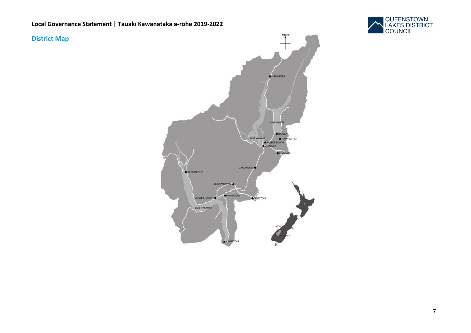

# **District Map**

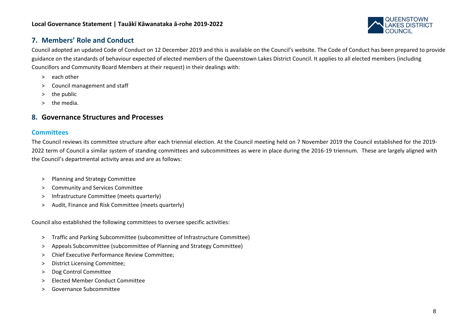

# **7. Members' Role and Conduct**

Council adopted an updated Code of Conduct on 12 December 2019 and this is available on the Council's website. The Code of Conduct has been prepared to provide guidance on the standards of behaviour expected of elected members of the Queenstown Lakes District Council. It applies to all elected members (including Councillors and Community Board Members at their request) in their dealings with:

- > each other
- > Council management and staff
- > the public
- > the media.

# **8. Governance Structures and Processes**

# **Committees**

The Council reviews its committee structure after each triennial election. At the Council meeting held on 7 November 2019 the Council established for the 2019- 2022 term of Council a similar system of standing committees and subcommittees as were in place during the 2016-19 triennum. These are largely aligned with the Council's departmental activity areas and are as follows:

- > Planning and Strategy Committee
- > Community and Services Committee
- > Infrastructure Committee (meets quarterly)
- > Audit, Finance and Risk Committee (meets quarterly)

Council also established the following committees to oversee specific activities:

- > Traffic and Parking Subcommittee (subcommittee of Infrastructure Committee)
- > Appeals Subcommittee (subcommittee of Planning and Strategy Committee)
- > Chief Executive Performance Review Committee;
- > District Licensing Committee;
- > Dog Control Committee
- > Elected Member Conduct Committee
- > Governance Subcommittee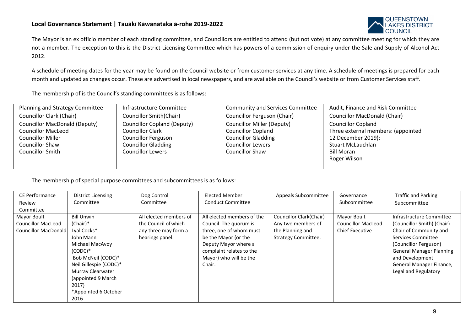

The Mayor is an ex officio member of each standing committee, and Councillors are entitled to attend (but not vote) at any committee meeting for which they are not a member. The exception to this is the District Licensing Committee which has powers of a commission of enquiry under the Sale and Supply of Alcohol Act 2012.

A schedule of meeting dates for the year may be found on the Council website or from customer services at any time. A schedule of meetings is prepared for each month and updated as changes occur. These are advertised in local newspapers, and are available on the Council's website or from Customer Services staff.

The membership of is the Council's standing committees is as follows:

| Planning and Strategy Committee      | Infrastructure Committee           | <b>Community and Services Committee</b> | Audit, Finance and Risk Committee   |
|--------------------------------------|------------------------------------|-----------------------------------------|-------------------------------------|
| <b>Councillor Clark (Chair)</b>      | <b>Councillor Smith(Chair)</b>     | Councillor Ferguson (Chair)             | <b>Councillor MacDonald (Chair)</b> |
| <b>Councillor MacDonald (Deputy)</b> | <b>Councillor Copland (Deputy)</b> | <b>Councillor Miller (Deputy)</b>       | <b>Councillor Copland</b>           |
| <b>Councillor MacLeod</b>            | <b>Councillor Clark</b>            | <b>Councillor Copland</b>               | Three external members: (appointed  |
| <b>Councillor Miller</b>             | <b>Councillor Ferguson</b>         | <b>Councillor Gladding</b>              | 12 December 2019):                  |
| Councillor Shaw                      | <b>Councillor Gladding</b>         | <b>Councillor Lewers</b>                | <b>Stuart McLauchlan</b>            |
| Councillor Smith                     | <b>Councillor Lewers</b>           | <b>Councillor Shaw</b>                  | <b>Bill Moran</b>                   |
|                                      |                                    |                                         | Roger Wilson                        |
|                                      |                                    |                                         |                                     |

The membership of special purpose committees and subcommittees is as follows:

| CE Performance              | <b>District Licensing</b> | Dog Control            | <b>Elected Member</b>      | Appeals Subcommittee    | Governance                | <b>Traffic and Parking</b>      |
|-----------------------------|---------------------------|------------------------|----------------------------|-------------------------|---------------------------|---------------------------------|
| Review                      | Committee                 | Committee              | <b>Conduct Committee</b>   |                         | Subcommittee              | Subcommittee                    |
| Committee                   |                           |                        |                            |                         |                           |                                 |
| Mayor Boult                 | <b>Bill Unwin</b>         | All elected members of | All elected members of the | Councillor Clark(Chair) | Mayor Boult               | Infrastructure Committee        |
| <b>Councillor MacLeod</b>   | (Chair)*                  | the Council of which   | Council The guorum is      | Any two members of      | <b>Councillor MacLeod</b> | (Councillor Smith) (Chair)      |
| <b>Councillor MacDonald</b> | Lyal Cocks*               | any three may form a   | three, one of whom must    | the Planning and        | <b>Chief Executive</b>    | Chair of Community and          |
|                             | John Mann                 | hearings panel.        | be the Mayor (or the       | Strategy Committee.     |                           | Services Committee              |
|                             | Michael MacAvoy           |                        | Deputy Mayor where a       |                         |                           | (Councillor Ferguson)           |
|                             | $(CODC)*$                 |                        | complaint relates to the   |                         |                           | <b>General Manager Planning</b> |
|                             | Bob McNeil (CODC)*        |                        | Mayor) who will be the     |                         |                           | and Development                 |
|                             | Neil Gillespie (CODC)*    |                        | Chair.                     |                         |                           | General Manager Finance,        |
|                             | Murray Clearwater         |                        |                            |                         |                           | Legal and Regulatory            |
|                             | (appointed 9 March)       |                        |                            |                         |                           |                                 |
|                             | 2017)                     |                        |                            |                         |                           |                                 |
|                             | *Appointed 6 October      |                        |                            |                         |                           |                                 |
|                             | 2016                      |                        |                            |                         |                           |                                 |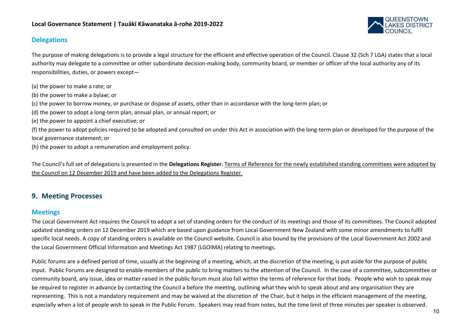

# **Delegations**

The purpose of making delegations is to provide a legal structure for the efficient and effective operation of the Council. Clause 32 (Sch 7 LGA) states that a local authority may delegate to a committee or other subordinate decision-making body, community board, or member or officer of the local authority any of its responsibilities, duties, or powers except—

- (a) the power to make a rate; or
- (b) the power to make a bylaw; or
- (c) the power to borrow money, or purchase or dispose of assets, other than in accordance with the long-term plan; or
- (d) the power to adopt a long-term plan, annual plan, or annual report; or
- (e) the power to appoint a chief executive; or

(f) the power to adopt policies required to be adopted and consulted on under this Act in association with the long-term plan or developed for the purpose of the local governance statement; or

(h) the power to adopt a remuneration and employment policy.

The Council's full set of delegations is presented in the **Delegations Register.** Terms of Reference for the newly established standing committees were adopted by the Council on 12 December 2019 and have been added to the Delegations Register.

# **9. Meeting Processes**

# **Meetings**

The Local Government Act requires the Council to adopt a set of standing orders for the conduct of its meetings and those of its committees. The Council adopted updated standing orders on 12 December 2019 which are based upon guidance from Local Government New Zealand with some minor amendments to fulfil specific local needs. A copy of standing orders is available on the Council website. Council is also bound by the provisions of the Local Government Act 2002 and the Local Government Official Information and Meetings Act 1987 (LGOIMA) relating to meetings.

Public forums are a defined period of time, usually at the beginning of a meeting, which, at the discretion of the meeting, is put aside for the purpose of public input. Public Forums are designed to enable members of the public to bring matters to the attention of the Council. In the case of a committee, subcommittee or community board, any issue, idea or matter raised in the public forum must also fall within the terms of reference for that body. People who wish to speak may be required to register in advance by contacting the Council a before the meeting, outlining what they wish to speak about and any organisation they are representing. This is not a mandatory requirement and may be waived at the discretion of the Chair, but it helps in the efficient management of the meeting, especially when a lot of people wish to speak in the Public Forum. Speakers may read from notes, but the time limit of three minutes per speaker is observed.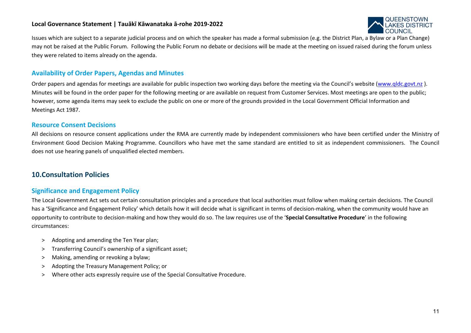

Issues which are subject to a separate judicial process and on which the speaker has made a formal submission (e.g. the District Plan, a Bylaw or a Plan Change) may not be raised at the Public Forum. Following the Public Forum no debate or decisions will be made at the meeting on issued raised during the forum unless they were related to items already on the agenda.

# **Availability of Order Papers, Agendas and Minutes**

Order papers and agendas for meetings are available for public inspection two working days before the meeting via the Council's website [\(www.qldc.govt.nz](http://www.qldc.govt.nz/)). Minutes will be found in the order paper for the following meeting or are available on request from Customer Services. Most meetings are open to the public; however, some agenda items may seek to exclude the public on one or more of the grounds provided in the Local Government Official Information and Meetings Act 1987.

### **Resource Consent Decisions**

All decisions on resource consent applications under the RMA are currently made by independent commissioners who have been certified under the Ministry of Environment Good Decision Making Programme. Councillors who have met the same standard are entitled to sit as independent commissioners. The Council does not use hearing panels of unqualified elected members.

# **10.Consultation Policies**

# **Significance and Engagement Policy**

The Local Government Act sets out certain consultation principles and a procedure that local authorities must follow when making certain decisions. The Council has a 'Significance and Engagement Policy' which details how it will decide what is significant in terms of decision-making, when the community would have an opportunity to contribute to decision-making and how they would do so. The law requires use of the '**Special Consultative Procedure**' in the following circumstances:

- > Adopting and amending the Ten Year plan;
- > Transferring Council's ownership of a significant asset;
- > Making, amending or revoking a bylaw;
- > Adopting the Treasury Management Policy; or
- > Where other acts expressly require use of the Special Consultative Procedure.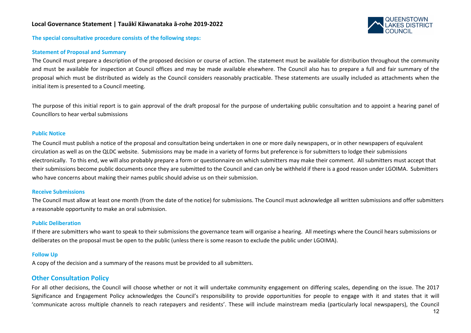

**The special consultative procedure consists of the following steps:**

#### **Statement of Proposal and Summary**

The Council must prepare a description of the proposed decision or course of action. The statement must be available for distribution throughout the community and must be available for inspection at Council offices and may be made available elsewhere. The Council also has to prepare a full and fair summary of the proposal which must be distributed as widely as the Council considers reasonably practicable. These statements are usually included as attachments when the initial item is presented to a Council meeting.

The purpose of this initial report is to gain approval of the draft proposal for the purpose of undertaking public consultation and to appoint a hearing panel of Councillors to hear verbal submissions

#### **Public Notice**

The Council must publish a notice of the proposal and consultation being undertaken in one or more daily newspapers, or in other newspapers of equivalent circulation as well as on the QLDC website. Submissions may be made in a variety of forms but preference is for submitters to lodge their submissions electronically. To this end, we will also probably prepare a form or questionnaire on which submitters may make their comment. All submitters must accept that their submissions become public documents once they are submitted to the Council and can only be withheld if there is a good reason under LGOIMA. Submitters who have concerns about making their names public should advise us on their submission.

#### **Receive Submissions**

The Council must allow at least one month (from the date of the notice) for submissions. The Council must acknowledge all written submissions and offer submitters a reasonable opportunity to make an oral submission.

#### **Public Deliberation**

If there are submitters who want to speak to their submissions the governance team will organise a hearing. All meetings where the Council hears submissions or deliberates on the proposal must be open to the public (unless there is some reason to exclude the public under LGOIMA).

#### **Follow Up**

A copy of the decision and a summary of the reasons must be provided to all submitters.

#### **Other Consultation Policy**

For all other decisions, the Council will choose whether or not it will undertake community engagement on differing scales, depending on the issue. The 2017 Significance and Engagement Policy acknowledges the Council's responsibility to provide opportunities for people to engage with it and states that it will 'communicate across multiple channels to reach ratepayers and residents'. These will include mainstream media (particularly local newspapers), the Council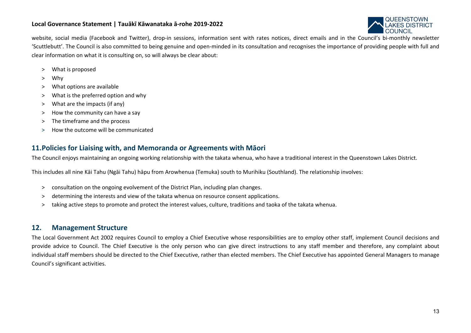

website, social media (Facebook and Twitter), drop-in sessions, information sent with rates notices, direct emails and in the Council's bi-monthly newsletter 'Scuttlebutt'. The Council is also committed to being genuine and open-minded in its consultation and recognises the importance of providing people with full and clear information on what it is consulting on, so will always be clear about:

- > What is proposed
- > Why
- > What options are available
- > What is the preferred option and why
- > What are the impacts (if any)
- > How the community can have a say
- > The timeframe and the process
- > How the outcome will be communicated

# **11.Policies for Liaising with, and Memoranda or Agreements with Māori**

The Council enjoys maintaining an ongoing working relationship with the takata whenua, who have a traditional interest in the Queenstown Lakes District.

This includes all nine Kāi Tahu (Ngāi Tahu) hāpu from Arowhenua (Temuka) south to Murihiku (Southland). The relationship involves:

- > consultation on the ongoing evolvement of the District Plan, including plan changes.
- > determining the interests and view of the takata whenua on resource consent applications.
- > taking active steps to promote and protect the interest values, culture, traditions and taoka of the takata whenua.

# **12. Management Structure**

The Local Government Act 2002 requires Council to employ a Chief Executive whose responsibilities are to employ other staff, implement Council decisions and provide advice to Council. The Chief Executive is the only person who can give direct instructions to any staff member and therefore, any complaint about individual staff members should be directed to the Chief Executive, rather than elected members. The Chief Executive has appointed General Managers to manage Council's significant activities.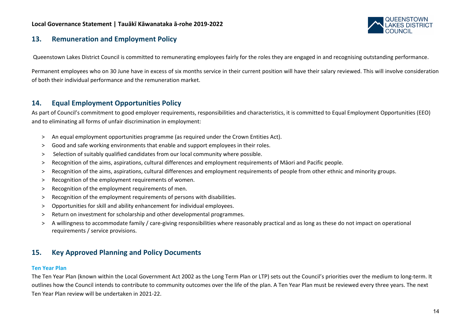

# **13. Remuneration and Employment Policy**

Queenstown Lakes District Council is committed to remunerating employees fairly for the roles they are engaged in and recognising outstanding performance.

Permanent employees who on 30 June have in excess of six months service in their current position will have their salary reviewed. This will involve consideration of both their individual performance and the remuneration market.

# **14. Equal Employment Opportunities Policy**

As part of Council's commitment to good employer requirements, responsibilities and characteristics, it is committed to Equal Employment Opportunities (EEO) and to eliminating all forms of unfair discrimination in employment:

- > An equal employment opportunities programme (as required under the Crown Entities Act).
- > Good and safe working environments that enable and support employees in their roles.
- > Selection of suitably qualified candidates from our local community where possible.
- > Recognition of the aims, aspirations, cultural differences and employment requirements of Māori and Pacific people.
- > Recognition of the aims, aspirations, cultural differences and employment requirements of people from other ethnic and minority groups.
- > Recognition of the employment requirements of women.
- > Recognition of the employment requirements of men.
- > Recognition of the employment requirements of persons with disabilities.
- > Opportunities for skill and ability enhancement for individual employees.
- > Return on investment for scholarship and other developmental programmes.
- > A willingness to accommodate family / care-giving responsibilities where reasonably practical and as long as these do not impact on operational requirements / service provisions.

# **15. Key Approved Planning and Policy Documents**

#### **Ten Year Plan**

The Ten Year Plan (known within the Local Government Act 2002 as the Long Term Plan or LTP) sets out the Council's priorities over the medium to long-term. It outlines how the Council intends to contribute to community outcomes over the life of the plan. A Ten Year Plan must be reviewed every three years. The next Ten Year Plan review will be undertaken in 2021-22.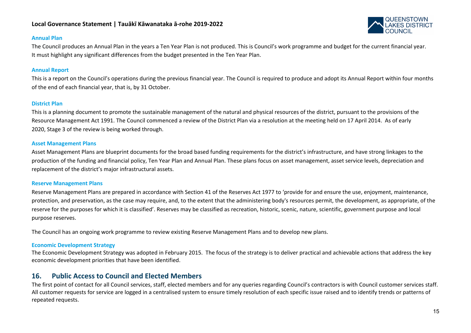

#### **Annual Plan**

The Council produces an Annual Plan in the years a Ten Year Plan is not produced. This is Council's work programme and budget for the current financial year. It must highlight any significant differences from the budget presented in the Ten Year Plan.

#### **Annual Report**

This is a report on the Council's operations during the previous financial year. The Council is required to produce and adopt its Annual Report within four months of the end of each financial year, that is, by 31 October.

#### **District Plan**

This is a planning document to promote the sustainable management of the natural and physical resources of the district, pursuant to the provisions of the Resource Management Act 1991. The Council commenced a review of the District Plan via a resolution at the meeting held on 17 April 2014. As of early 2020, Stage 3 of the review is being worked through.

#### **Asset Management Plans**

Asset Management Plans are blueprint documents for the broad based funding requirements for the district's infrastructure, and have strong linkages to the production of the funding and financial policy, Ten Year Plan and Annual Plan. These plans focus on asset management, asset service levels, depreciation and replacement of the district's major infrastructural assets.

#### **Reserve Management Plans**

Reserve Management Plans are prepared in accordance with Section 41 of the Reserves Act 1977 to 'provide for and ensure the use, enjoyment, maintenance, protection, and preservation, as the case may require, and, to the extent that the administering body's resources permit, the development, as appropriate, of the reserve for the purposes for which it is classified'. Reserves may be classified as recreation, historic, scenic, nature, scientific, government purpose and local purpose reserves.

The Council has an ongoing work programme to review existing Reserve Management Plans and to develop new plans.

#### **Economic Development Strategy**

The Economic Development Strategy was adopted in February 2015. The focus of the strategy is to deliver practical and achievable actions that address the key economic development priorities that have been identified.

# **16. Public Access to Council and Elected Members**

The first point of contact for all Council services, staff, elected members and for any queries regarding Council's contractors is with Council customer services staff. All customer requests for service are logged in a centralised system to ensure timely resolution of each specific issue raised and to identify trends or patterns of repeated requests.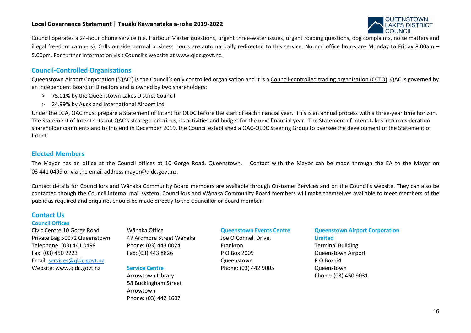

Council operates a 24-hour phone service (i.e. Harbour Master questions, urgent three-water issues, urgent roading questions, dog complaints, noise matters and illegal freedom campers). Calls outside normal business hours are automatically redirected to this service. Normal office hours are Monday to Friday 8.00am – 5.00pm. For further information visit Council's website at [www.qldc.govt.nz.](http://www.qldc.govt.nz/)

# **Council-Controlled Organisations**

Queenstown Airport Corporation ('QAC') is the Council's only controlled organisation and it is a Council-controlled trading organisation (CCTO). QAC is governed by an independent Board of Directors and is owned by two shareholders:

- > 75.01% by the Queenstown Lakes District Council
- > 24.99% by Auckland International Airport Ltd

Under the LGA, QAC must prepare a Statement of Intent for QLDC before the start of each financial year. This is an annual process with a three-year time horizon. The Statement of Intent sets out QAC's strategic priorities, its activities and budget for the next financial year. The Statement of Intent takes into consideration shareholder comments and to this end in December 2019, the Council established a QAC-QLDC Steering Group to oversee the development of the Statement of Intent.

### **Elected Members**

The Mayor has an office at the Council offices at 10 Gorge Road, Queenstown. Contact with the Mayor can be made through the EA to the Mayor on 03 441 0499 or via the email address [mayor@qldc.govt.nz.](mailto:mayor@qldc.govt.nz)

Contact details for Councillors and Wānaka Community Board members are available through Customer Services and on the Council's website. They can also be contacted though the Council internal mail system. Councillors and Wānaka Community Board members will make themselves available to meet members of the public as required and enquiries should be made directly to the Councillor or board member.

# **Contact Us**

#### **Council Offices**

Civic Centre 10 Gorge Road Private Bag 50072 Queenstown Telephone: (03) 441 0499 Fax: (03) 450 2223 Email: [services@qldc.govt.nz](mailto:services@qldc.govt.nz) Website: [www.qldc.govt.nz](http://www.qldc.govt.nz/)

Wānaka Office 47 Ardmore Street Wānaka Phone: (03) 443 0024 Fax: (03) 443 8826

#### **Service Centre**

Arrowtown Library 58 Buckingham Street Arrowtown Phone: (03) 442 1607

#### **Queenstown Events Centre**

Joe O'Connell Drive, Frankton P O Box 2009 Queenstown Phone: (03) 442 9005

### **Queenstown Airport Corporation Limited**

Terminal Building Queenstown Airport P O Box 64 Queenstown Phone: (03) 450 9031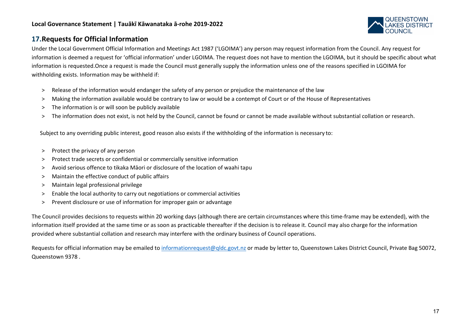

# **17.Requests for Official Information**

Under the Local Government Official Information and Meetings Act 1987 ('LGOIMA') any person may request information from the Council. Any request for information is deemed a request for 'official information' under LGOIMA. The request does not have to mention the LGOIMA, but it should be specific about what information is requested.Once a request is made the Council must generally supply the information unless one of the reasons specified in LGOIMA for withholding exists. Information may be withheld if:

- > Release of the information would endanger the safety of any person or prejudice the maintenance of the law
- > Making the information available would be contrary to law or would be a contempt of Court or of the House of Representatives
- > The information is or will soon be publicly available
- > The information does not exist, is not held by the Council, cannot be found or cannot be made available without substantial collation or research.

Subject to any overriding public interest, good reason also exists if the withholding of the information is necessary to:

- > Protect the privacy of any person
- > Protect trade secrets or confidential or commercially sensitive information
- > Avoid serious offence to tikaka Māori or disclosure of the location of waahi tapu
- > Maintain the effective conduct of public affairs
- > Maintain legal professional privilege
- > Enable the local authority to carry out negotiations or commercial activities
- > Prevent disclosure or use of information for improper gain or advantage

The Council provides decisions to requests within 20 working days (although there are certain circumstances where this time-frame may be extended), with the information itself provided at the same time or as soon as practicable thereafter if the decision is to release it. Council may also charge for the information provided where substantial collation and research may interfere with the ordinary business of Council operations.

Requests for official information may be emailed to [informationrequest@qldc.govt.nz](mailto:informationrequest@qldc.govt.nz) or made by letter to, Queenstown Lakes District Council, Private Bag 50072, Queenstown 9378 .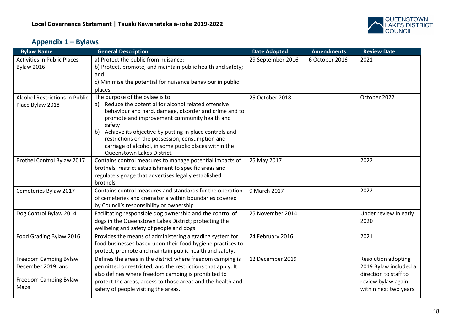

# **Appendix 1 – Bylaws**

| <b>Bylaw Name</b>                           | <b>General Description</b>                                                                                            | <b>Date Adopted</b> | <b>Amendments</b> | <b>Review Date</b>                           |
|---------------------------------------------|-----------------------------------------------------------------------------------------------------------------------|---------------------|-------------------|----------------------------------------------|
| <b>Activities in Public Places</b>          | a) Protect the public from nuisance;                                                                                  | 29 September 2016   | 6 October 2016    | 2021                                         |
| <b>Bylaw 2016</b>                           | b) Protect, promote, and maintain public health and safety;                                                           |                     |                   |                                              |
|                                             | and                                                                                                                   |                     |                   |                                              |
|                                             | c) Minimise the potential for nuisance behaviour in public                                                            |                     |                   |                                              |
| <b>Alcohol Restrictions in Public</b>       | places.<br>The purpose of the bylaw is to:                                                                            |                     |                   | October 2022                                 |
| Place Bylaw 2018                            | Reduce the potential for alcohol related offensive                                                                    | 25 October 2018     |                   |                                              |
|                                             | behaviour and hard, damage, disorder and crime and to                                                                 |                     |                   |                                              |
|                                             | promote and improvement community health and                                                                          |                     |                   |                                              |
|                                             | safety                                                                                                                |                     |                   |                                              |
|                                             | Achieve its objective by putting in place controls and<br>b)                                                          |                     |                   |                                              |
|                                             | restrictions on the possession, consumption and                                                                       |                     |                   |                                              |
|                                             | carriage of alcohol, in some public places within the<br>Queenstown Lakes District.                                   |                     |                   |                                              |
| Brothel Control Bylaw 2017                  | Contains control measures to manage potential impacts of                                                              | 25 May 2017         |                   | 2022                                         |
|                                             | brothels, restrict establishment to specific areas and                                                                |                     |                   |                                              |
|                                             | regulate signage that advertises legally established                                                                  |                     |                   |                                              |
|                                             | brothels                                                                                                              |                     |                   |                                              |
| Cemeteries Bylaw 2017                       | Contains control measures and standards for the operation                                                             | 9 March 2017        |                   | 2022                                         |
|                                             | of cemeteries and crematoria within boundaries covered                                                                |                     |                   |                                              |
|                                             | by Council's responsibility or ownership                                                                              |                     |                   |                                              |
| Dog Control Bylaw 2014                      | Facilitating responsible dog ownership and the control of                                                             | 25 November 2014    |                   | Under review in early                        |
|                                             | dogs in the Queenstown Lakes District; protecting the                                                                 |                     |                   | 2020                                         |
|                                             | wellbeing and safety of people and dogs                                                                               |                     |                   |                                              |
| Food Grading Bylaw 2016                     | Provides the means of administering a grading system for                                                              | 24 February 2016    |                   | 2021                                         |
|                                             | food businesses based upon their food hygiene practices to<br>protect, promote and maintain public health and safety. |                     |                   |                                              |
|                                             | Defines the areas in the district where freedom camping is                                                            | 12 December 2019    |                   |                                              |
| Freedom Camping Bylaw<br>December 2019; and | permitted or restricted, and the restrictions that apply. It                                                          |                     |                   | Resolution adopting<br>2019 Bylaw included a |
|                                             | also defines where freedom camping is prohibited to                                                                   |                     |                   | direction to staff to                        |
| Freedom Camping Bylaw                       | protect the areas, access to those areas and the health and                                                           |                     |                   | review bylaw again                           |
| Maps                                        | safety of people visiting the areas.                                                                                  |                     |                   | within next two years.                       |
|                                             |                                                                                                                       |                     |                   |                                              |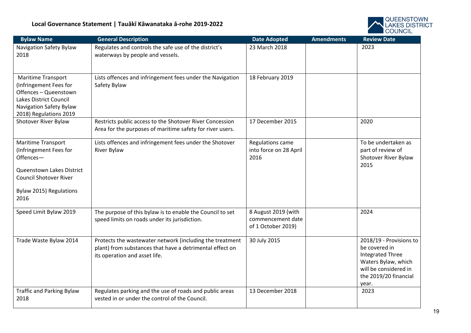

| <b>Bylaw Name</b>                                                                                                                                          | <b>General Description</b>                                                                                                                            | <b>Date Adopted</b>                                            | <b>Amendments</b> | <b>Review Date</b>                                                                                                                                    |
|------------------------------------------------------------------------------------------------------------------------------------------------------------|-------------------------------------------------------------------------------------------------------------------------------------------------------|----------------------------------------------------------------|-------------------|-------------------------------------------------------------------------------------------------------------------------------------------------------|
| Navigation Safety Bylaw<br>2018                                                                                                                            | Regulates and controls the safe use of the district's<br>waterways by people and vessels.                                                             | 23 March 2018                                                  |                   | 2023                                                                                                                                                  |
| Maritime Transport<br>(Infringement Fees for<br>Offences - Queenstown<br>Lakes District Council<br>Navigation Safety Bylaw<br>2018) Regulations 2019       | Lists offences and infringement fees under the Navigation<br>Safety Bylaw                                                                             | 18 February 2019                                               |                   |                                                                                                                                                       |
| Shotover River Bylaw                                                                                                                                       | Restricts public access to the Shotover River Concession<br>Area for the purposes of maritime safety for river users.                                 | 17 December 2015                                               |                   | 2020                                                                                                                                                  |
| Maritime Transport<br>(Infringement Fees for<br>Offences-<br>Queenstown Lakes District<br><b>Council Shotover River</b><br>Bylaw 2015) Regulations<br>2016 | Lists offences and infringement fees under the Shotover<br>River Bylaw                                                                                | Regulations came<br>into force on 28 April<br>2016             |                   | To be undertaken as<br>part of review of<br>Shotover River Bylaw<br>2015                                                                              |
| Speed Limit Bylaw 2019                                                                                                                                     | The purpose of this bylaw is to enable the Council to set<br>speed limits on roads under its jurisdiction.                                            | 8 August 2019 (with<br>commencement date<br>of 1 October 2019) |                   | 2024                                                                                                                                                  |
| Trade Waste Bylaw 2014                                                                                                                                     | Protects the wastewater network (including the treatment<br>plant) from substances that have a detrimental effect on<br>its operation and asset life. | 30 July 2015                                                   |                   | 2018/19 - Provisions to<br>be covered in<br><b>Integrated Three</b><br>Waters Bylaw, which<br>will be considered in<br>the 2019/20 financial<br>year. |
| <b>Traffic and Parking Bylaw</b><br>2018                                                                                                                   | Regulates parking and the use of roads and public areas<br>vested in or under the control of the Council.                                             | 13 December 2018                                               |                   | 2023                                                                                                                                                  |